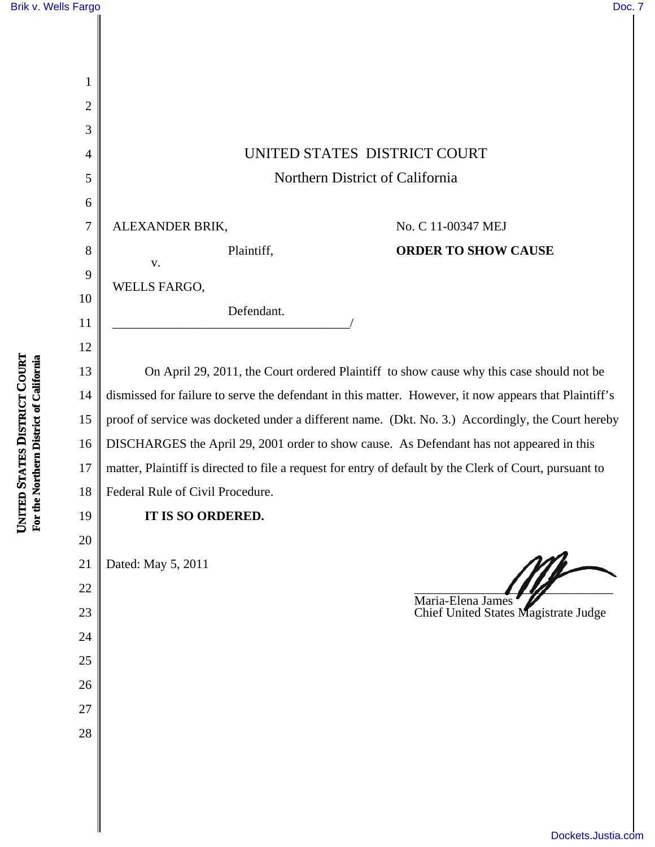